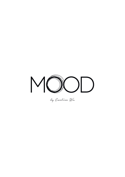

by Eveline Wu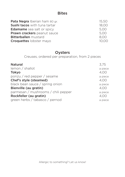# **Bites**

| <b>Pata Negra</b> Iberian ham 80 gr. | 15.50 |
|--------------------------------------|-------|
| <b>Sushi tacos</b> with tuna tartar  | 18.00 |
| <b>Edamame</b> sea salt or spicy     | 5.00  |
| Prawn crackers peanut sauce          | 5.00  |
| <b>Bitterballen</b> mustard          | 8.00  |
| <b>Croquettes lobster mayo</b>       | 10.00 |

### **Oysters**

Creuses, ordered per preparation, from 2 pieces

| <b>Natural</b>                      | 3.75    |
|-------------------------------------|---------|
| lemon / shallot                     | a piece |
| <b>Tokyo</b>                        | 4,00    |
| ponzu / red pepper / sesame         | a piece |
| Chef's style (steamed)              | 4,00    |
| black bean sauce / spring onion     | a piece |
| Bienville (au gratin)               | 4,00    |
| parmesan / mushrooms / chili pepper | a piece |
| Rockfeller (au gratin)              | 4.00    |
| green herbs / tabasco / pernod      | a piece |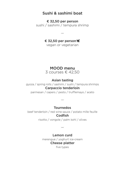### Sushi & sashimi boat

€ 32,50 per person sushi / sashimi / tempura shrimp

€ 32,50 per person

—

vegan or vegetarian

### MOOD menu

3 courses € 42,50

#### Asian tasting

gyoza / spring rolls / sashimi / sushi / tempura shrimps

#### Carpaccio tenderloin

parmesan / capers / pesto / trufflemayo / aceto

—

#### Tournedos

beef tenderloin / red wine sauce / potato mille feuille Codfish

risotto / vongole / palm kohl / olives

—

#### Lemon curd

merengue / yoghurt ice-cream Cheese platter

five types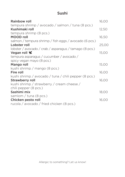# Sushi

| <b>Rainbow roll</b>                                    | 16,00 |
|--------------------------------------------------------|-------|
| tempura shrimp / avocado / salmon / tuna (8 pcs.)      |       |
| Kushimaki roll                                         | 12,50 |
| tempura shrimp (8 pcs.)                                |       |
| <b>MOOD</b> roll                                       | 16,50 |
| salmon / tempura shrimp / fish eggs / avocado (6 pcs.) |       |
| Lobster roll                                           | 25,00 |
| lobster / avocado / crab / asparagus / tamago (8 pcs.) |       |
| Vegan roll 12                                          | 15,00 |
| tempura asparagus / cucumber / avocado /               |       |
| spicy vegan mayo (8 pcs.)                              |       |
| Mango roll                                             | 15,00 |
| kushi shrimp / mango (8 pcs.)                          |       |
| Fire roll                                              | 16,00 |
| kushi shrimp / avocado / tuna / chili pepper (8 pcs.)  |       |
| <b>Strawberry roll</b>                                 | 16,00 |
| kushi shrimp / strawberry / cream cheese /             |       |
| chili pepper (8 pcs.)                                  |       |
| Sashimi mix                                            | 18,00 |
| samlom / tuna $(8 \text{ pcs.})$                       |       |
| Chicken pesto roll                                     | 16,00 |
| rucola / avocado / fried chicken (8 pcs.)              |       |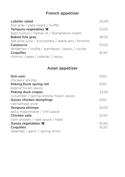# French appetizer

| Lobster salad                                     | 25.00 |
|---------------------------------------------------|-------|
| foie gras / pata negra / truffle                  |       |
| Tempura vegetables K                              | 12,00 |
| basil humus / herbal oil / Romanesco cream        |       |
| <b>Baked foie gras</b>                            | 18.00 |
| red wine juice / scorzonera / apple jam / brioche |       |
| Carpaccio                                         | 15.00 |
| tenderloin / truffle / parmesan / pesto / rucola  |       |
| <b>Coquilles</b>                                  | 16,50 |
| chorizo / peas / celeriac / verjus                |       |

# Asian appetizer

| Dim sum                                | 9.50  |
|----------------------------------------|-------|
| chicken/shrimp                         |       |
| <b>Peking Duck spring roll</b>         | 9,50  |
| peanut hoisin sauce                    |       |
| <b>Peking duck crepes</b>              | 23,50 |
| cucumber / spring onions/ hoisin sauce |       |
| Gyoza chicken dumplings                | 9.50  |
| vietnamese style                       |       |
| <b>Tempura shrimps</b>                 | 10,00 |
| spicy mayonnaise / chili sauce         |       |
| Chicken sate                           | 12,50 |
| corn chicken / sate sauce / halal      |       |
| Gyoza vegetables 12                    | 10,50 |
| <b>Coquilles</b>                       | 15,50 |
| steamed / garlic / spring onion        |       |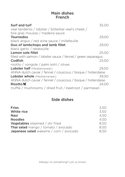## Main dishes French

| Surf and turf<br>veal tenderloi / lobster / bitterbal veal's cheek /<br>foie gras mousse / madeira sauce | 35,00 |
|----------------------------------------------------------------------------------------------------------|-------|
| <b>Tournedos</b>                                                                                         | 29,00 |
| black angus / red wine sauce / millefeuille                                                              |       |
| Duo of lambchops and lamb fillet                                                                         | 29,00 |
| black garlic / ratatouille                                                                               |       |
| Lemon sole fillet                                                                                        | 25,00 |
| filled with salmon / lobster sauce / fennel / green asparagus                                            |       |
| Codfish                                                                                                  | 25,00 |
| risotto / vongole / palm kohl / olives                                                                   |       |
| Lobster half (Mediterranean)                                                                             | 29,50 |
| ANNA dutch caviar / fennel / couscous / bisque / hollandaise                                             |       |
| Lobster whole (Mediterranean)                                                                            | 39.50 |
| ANNA dutch caviar / fennel / couscous / bisque / hollandaise                                             |       |
| Risotto <b>K</b>                                                                                         | 24.00 |
| truffle / mushrooms / dried fruit / beetroot / parmesan                                                  |       |

# Side dishes

| <b>Fries</b>                                  | 3,50 |
|-----------------------------------------------|------|
| <b>White rice</b>                             | 3,50 |
| <b>Nasi</b>                                   | 4.50 |
| <b>Noodles</b>                                | 4.50 |
| <b>Vegetables</b> steamed / stir fried        | 8.50 |
| <b>Thai salad</b> mango / tomato / avocado    | 8,50 |
| <b>Japanese salad</b> wakame / corn / avocado | 8.50 |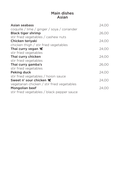## Main dishes Asian

| Asian seabass                               | 24,00 |
|---------------------------------------------|-------|
| coquille / lime / ginger / soya / coriander |       |
| <b>Black tiger shrimp</b>                   | 26,00 |
| stir fried vegetables / cashew nuts         |       |
| Chicken teriyaki                            | 24,00 |
| chicken thigh / stir fried vegetables       |       |
| Thai curry vegan $\blacktriangleright$      | 24,00 |
| stir fried vegetables                       |       |
| Thai curry chicken                          | 24,00 |
| stir fried vegetables                       |       |
| Thai curry gamba's                          | 26,00 |
| stir fried vegetables                       |       |
| <b>Peking duck</b>                          | 24,00 |
| stir fried vegetables / hoisin sauce        |       |
| Sweet n' sour chicken                       | 24,00 |
| vegetarian chicken / stir fried vegetables  |       |
| <b>Mongolian beef</b>                       | 24.00 |
| stir fried vegetables / black pepper sauce  |       |